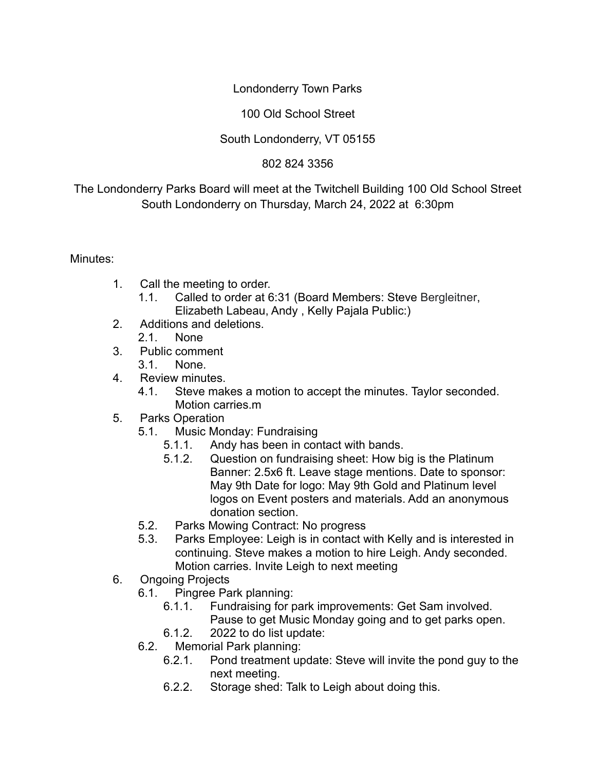## Londonderry Town Parks

#### 100 Old School Street

## South Londonderry, VT 05155

#### 802 824 3356

# The Londonderry Parks Board will meet at the Twitchell Building 100 Old School Street South Londonderry on Thursday, March 24, 2022 at 6:30pm

Minutes:

- 1. Call the meeting to order.
	- 1.1. Called to order at 6:31 (Board Members: Steve Bergleitner, Elizabeth Labeau, Andy , Kelly Pajala Public:)
- 2. Additions and deletions. 2.1. None
- 3. Public comment
	- 3.1. None.
- 4 Review minutes
	- 4.1. Steve makes a motion to accept the minutes. Taylor seconded. Motion carries.m
- 5. Parks Operation
	- 5.1. Music Monday: Fundraising
		- 5.1.1. Andy has been in contact with bands.
		- 5.1.2. Question on fundraising sheet: How big is the Platinum Banner: 2.5x6 ft. Leave stage mentions. Date to sponsor: May 9th Date for logo: May 9th Gold and Platinum level logos on Event posters and materials. Add an anonymous donation section.
	- 5.2. Parks Mowing Contract: No progress
	- 5.3. Parks Employee: Leigh is in contact with Kelly and is interested in continuing. Steve makes a motion to hire Leigh. Andy seconded. Motion carries. Invite Leigh to next meeting
- 6. Ongoing Projects
	- 6.1. Pingree Park planning:
		- 6.1.1. Fundraising for park improvements: Get Sam involved. Pause to get Music Monday going and to get parks open.
		- 6.1.2. 2022 to do list update:
	- 6.2. Memorial Park planning:
		- 6.2.1. Pond treatment update: Steve will invite the pond guy to the next meeting.
		- 6.2.2. Storage shed: Talk to Leigh about doing this.